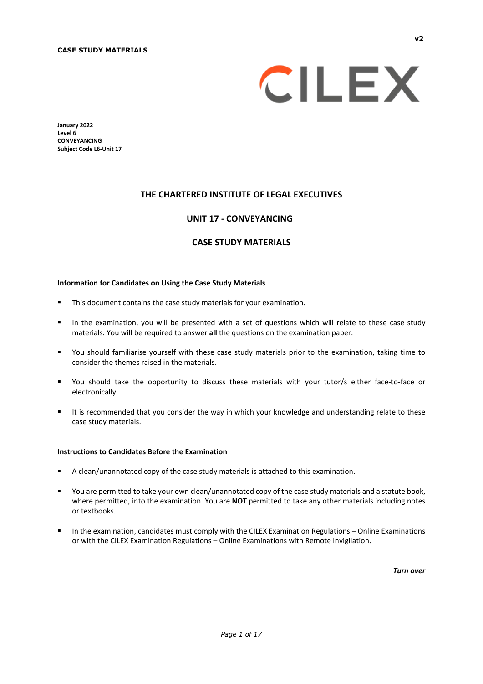

**January 2022 Level 6 CONVEYANCING Subject Code L6-Unit 17** 

#### **THE CHARTERED INSTITUTE OF LEGAL EXECUTIVES**

#### **UNIT 17 - CONVEYANCING\***

#### **CASE STUDY MATERIALS**

#### **Information for Candidates on Using the Case Study Materials**

- **This document contains the case study materials for your examination.**
- In the examination, you will be presented with a set of questions which will relate to these case study materials. You will be required to answer **all** the questions on the examination paper.
- You should familiarise yourself with these case study materials prior to the examination, taking time to consider the themes raised in the materials.
- You should take the opportunity to discuss these materials with your tutor/s either face-to-face or electronically.
- It is recommended that you consider the way in which your knowledge and understanding relate to these case study materials.

#### **Instructions to Candidates Before the Examination**

- A clean/unannotated copy of the case study materials is attached to this examination.
- You are permitted to take your own clean/unannotated copy of the case study materials and a statute book, where permitted, into the examination. You are **NOT** permitted to take any other materials including notes or textbooks.
- In the examination, candidates must comply with the CILEX Examination Regulations Online Examinations or with the CILEX Examination Regulations – Online Examinations with Remote Invigilation.

*Turn over*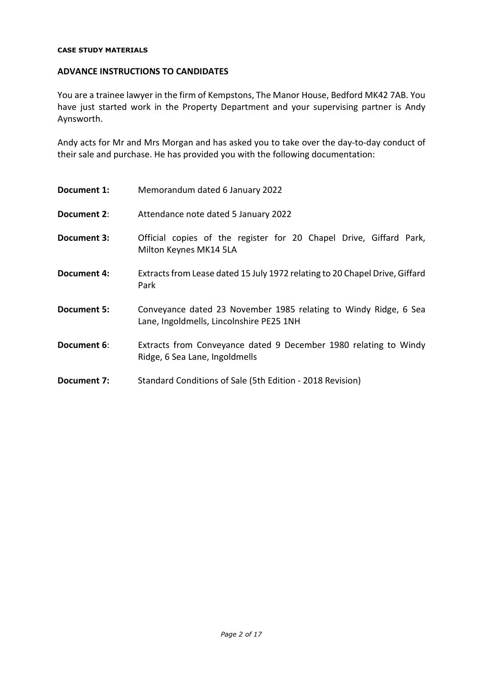#### **ADVANCE INSTRUCTIONS TO CANDIDATES**

You are a trainee lawyer in the firm of Kempstons, The Manor House, Bedford MK42 7AB. You have just started work in the Property Department and your supervising partner is Andy Aynsworth.

Andy acts for Mr and Mrs Morgan and has asked you to take over the day-to-day conduct of their sale and purchase. He has provided you with the following documentation:

| Document 1: | Memorandum dated 6 January 2022                                                                              |
|-------------|--------------------------------------------------------------------------------------------------------------|
| Document 2: | Attendance note dated 5 January 2022                                                                         |
| Document 3: | Official copies of the register for 20 Chapel Drive, Giffard Park,<br>Milton Keynes MK14 5LA                 |
| Document 4: | Extracts from Lease dated 15 July 1972 relating to 20 Chapel Drive, Giffard<br>Park                          |
| Document 5: | Conveyance dated 23 November 1985 relating to Windy Ridge, 6 Sea<br>Lane, Ingoldmells, Lincolnshire PE25 1NH |
| Document 6: | Extracts from Conveyance dated 9 December 1980 relating to Windy<br>Ridge, 6 Sea Lane, Ingoldmells           |
| Document 7: | Standard Conditions of Sale (5th Edition - 2018 Revision)                                                    |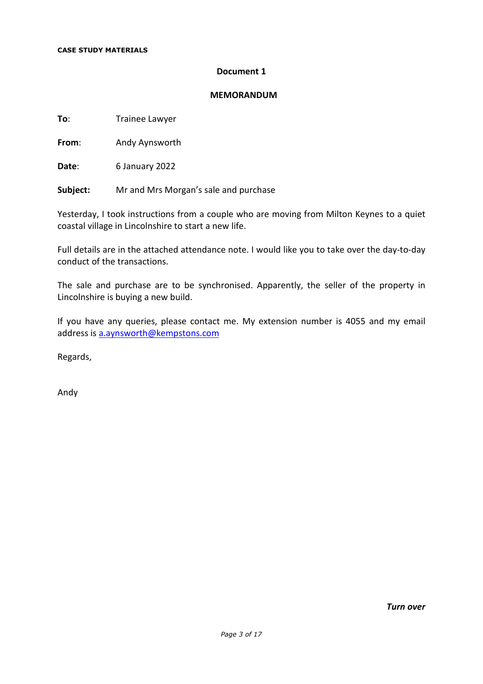#### **Document 1**

#### **MEMORANDUM**

**To:** Trainee Lawyer

**From**: Andy Aynsworth

**Date**: 6 January 2022

**Subject:** Mr and Mrs Morgan's sale and purchase

Yesterday, I took instructions from a couple who are moving from Milton Keynes to a quiet coastal village in Lincolnshire to start a new life.

Full details are in the attached attendance note. I would like you to take over the day-to-day conduct of the transactions.

The sale and purchase are to be synchronised. Apparently, the seller of the property in Lincolnshire is buying a new build.

If you have any queries, please contact me. My extension number is 4055 and my email address is a.aynsworth@kempstons.com

Regards,

Andy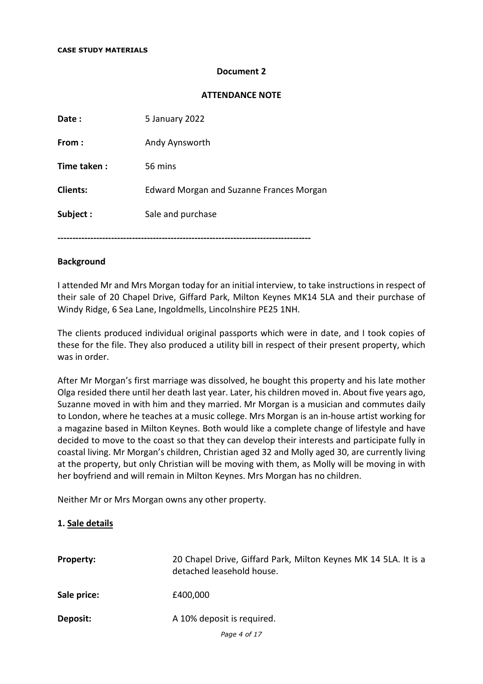#### **Document 2**

#### **ATTENDANCE NOTE**

| Date:           | 5 January 2022                                  |
|-----------------|-------------------------------------------------|
| From:           | Andy Aynsworth                                  |
| Time taken:     | 56 mins                                         |
| <b>Clients:</b> | <b>Edward Morgan and Suzanne Frances Morgan</b> |
| Subject:        | Sale and purchase                               |
|                 |                                                 |

#### **Background**

I attended Mr and Mrs Morgan today for an initial interview, to take instructions in respect of their sale of 20 Chapel Drive, Giffard Park, Milton Keynes MK14 5LA and their purchase of Windy Ridge, 6 Sea Lane, Ingoldmells, Lincolnshire PE25 1NH.

The clients produced individual original passports which were in date, and I took copies of these for the file. They also produced a utility bill in respect of their present property, which was in order.

After Mr Morgan's first marriage was dissolved, he bought this property and his late mother Olga resided there until her death last year. Later, his children moved in. About five years ago, Suzanne moved in with him and they married. Mr Morgan is a musician and commutes daily to London, where he teaches at a music college. Mrs Morgan is an in-house artist working for a magazine based in Milton Keynes. Both would like a complete change of lifestyle and have decided to move to the coast so that they can develop their interests and participate fully in coastal living. Mr Morgan's children, Christian aged 32 and Molly aged 30, are currently living at the property, but only Christian will be moving with them, as Molly will be moving in with her boyfriend and will remain in Milton Keynes. Mrs Morgan has no children.

Neither Mr or Mrs Morgan owns any other property.

#### **1. Sale details**

| <b>Property:</b> | 20 Chapel Drive, Giffard Park, Milton Keynes MK 14 5LA. It is a<br>detached leasehold house. |
|------------------|----------------------------------------------------------------------------------------------|
| Sale price:      | £400,000                                                                                     |
| Deposit:         | A 10% deposit is required.                                                                   |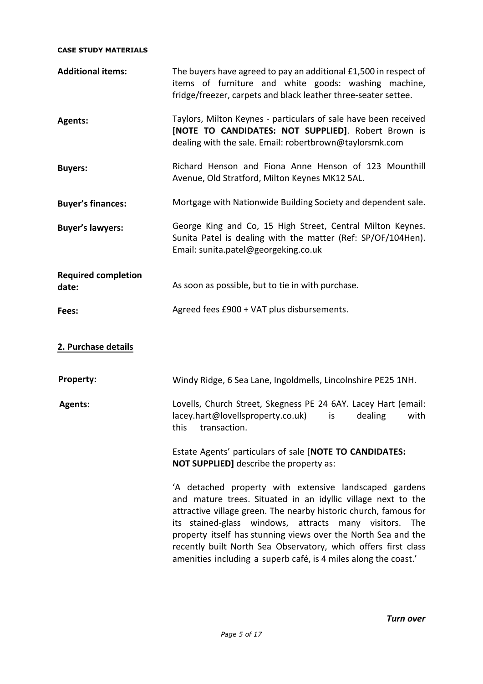| <b>Additional items:</b>            | The buyers have agreed to pay an additional £1,500 in respect of<br>items of furniture and white goods: washing machine,<br>fridge/freezer, carpets and black leather three-seater settee.                                                                                                                                                                                                                                                                 |
|-------------------------------------|------------------------------------------------------------------------------------------------------------------------------------------------------------------------------------------------------------------------------------------------------------------------------------------------------------------------------------------------------------------------------------------------------------------------------------------------------------|
| <b>Agents:</b>                      | Taylors, Milton Keynes - particulars of sale have been received<br>[NOTE TO CANDIDATES: NOT SUPPLIED]. Robert Brown is<br>dealing with the sale. Email: robertbrown@taylorsmk.com                                                                                                                                                                                                                                                                          |
| <b>Buyers:</b>                      | Richard Henson and Fiona Anne Henson of 123 Mounthill<br>Avenue, Old Stratford, Milton Keynes MK12 5AL.                                                                                                                                                                                                                                                                                                                                                    |
| <b>Buyer's finances:</b>            | Mortgage with Nationwide Building Society and dependent sale.                                                                                                                                                                                                                                                                                                                                                                                              |
| <b>Buyer's lawyers:</b>             | George King and Co, 15 High Street, Central Milton Keynes.<br>Sunita Patel is dealing with the matter (Ref: SP/OF/104Hen).<br>Email: sunita.patel@georgeking.co.uk                                                                                                                                                                                                                                                                                         |
| <b>Required completion</b><br>date: | As soon as possible, but to tie in with purchase.                                                                                                                                                                                                                                                                                                                                                                                                          |
| Fees:                               | Agreed fees £900 + VAT plus disbursements.                                                                                                                                                                                                                                                                                                                                                                                                                 |
| 2. Purchase details                 |                                                                                                                                                                                                                                                                                                                                                                                                                                                            |
| <b>Property:</b>                    | Windy Ridge, 6 Sea Lane, Ingoldmells, Lincolnshire PE25 1NH.                                                                                                                                                                                                                                                                                                                                                                                               |
| <b>Agents:</b>                      | Lovells, Church Street, Skegness PE 24 6AY. Lacey Hart (email:<br>lacey.hart@lovellsproperty.co.uk)<br>dealing<br>with<br>is<br>this transaction.                                                                                                                                                                                                                                                                                                          |
|                                     | Estate Agents' particulars of sale [NOTE TO CANDIDATES:<br><b>NOT SUPPLIED]</b> describe the property as:                                                                                                                                                                                                                                                                                                                                                  |
|                                     | 'A detached property with extensive landscaped gardens<br>and mature trees. Situated in an idyllic village next to the<br>attractive village green. The nearby historic church, famous for<br>its stained-glass windows, attracts many visitors. The<br>property itself has stunning views over the North Sea and the<br>recently built North Sea Observatory, which offers first class<br>amenities including a superb café, is 4 miles along the coast.' |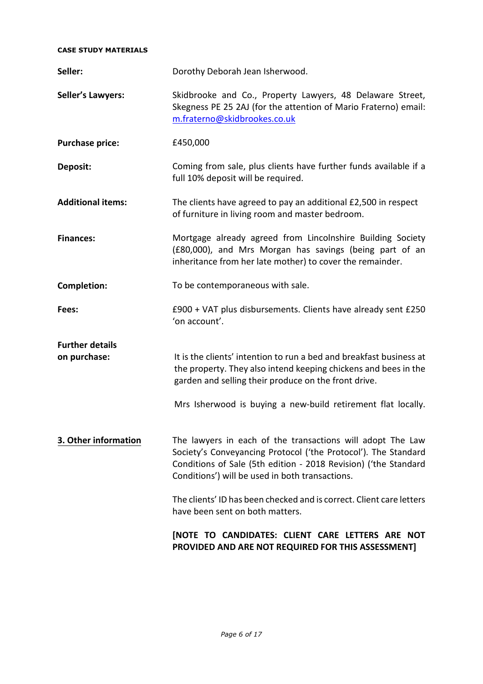| Seller:                                | Dorothy Deborah Jean Isherwood.                                                                                                                                                                                                                    |
|----------------------------------------|----------------------------------------------------------------------------------------------------------------------------------------------------------------------------------------------------------------------------------------------------|
| <b>Seller's Lawyers:</b>               | Skidbrooke and Co., Property Lawyers, 48 Delaware Street,<br>Skegness PE 25 2AJ (for the attention of Mario Fraterno) email:<br>m.fraterno@skidbrookes.co.uk                                                                                       |
| <b>Purchase price:</b>                 | £450,000                                                                                                                                                                                                                                           |
| Deposit:                               | Coming from sale, plus clients have further funds available if a<br>full 10% deposit will be required.                                                                                                                                             |
| <b>Additional items:</b>               | The clients have agreed to pay an additional £2,500 in respect<br>of furniture in living room and master bedroom.                                                                                                                                  |
| <b>Finances:</b>                       | Mortgage already agreed from Lincolnshire Building Society<br>(£80,000), and Mrs Morgan has savings (being part of an<br>inheritance from her late mother) to cover the remainder.                                                                 |
| Completion:                            | To be contemporaneous with sale.                                                                                                                                                                                                                   |
| Fees:                                  | £900 + VAT plus disbursements. Clients have already sent £250<br>'on account'.                                                                                                                                                                     |
| <b>Further details</b><br>on purchase: | It is the clients' intention to run a bed and breakfast business at<br>the property. They also intend keeping chickens and bees in the<br>garden and selling their produce on the front drive.                                                     |
|                                        | Mrs Isherwood is buying a new-build retirement flat locally.                                                                                                                                                                                       |
| 3. Other information                   | The lawyers in each of the transactions will adopt The Law<br>Society's Conveyancing Protocol ('the Protocol'). The Standard<br>Conditions of Sale (5th edition - 2018 Revision) ('the Standard<br>Conditions') will be used in both transactions. |
|                                        | The clients' ID has been checked and is correct. Client care letters<br>have been sent on both matters.                                                                                                                                            |
|                                        | [NOTE TO CANDIDATES: CLIENT CARE LETTERS ARE NOT<br>PROVIDED AND ARE NOT REQUIRED FOR THIS ASSESSMENT]                                                                                                                                             |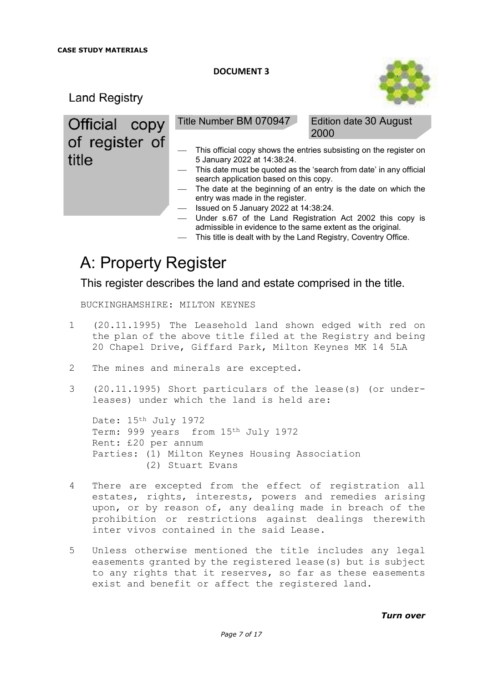

**Land Registry** 

Official copy of register of title

Title Number BM 070947 Edition date 30 August

2000

- This official copy shows the entries subsisting on the register on 5 January 2022 at 14:38:24.
- This date must be quoted as the 'search from date' in any official search application based on this copy.
- The date at the beginning of an entry is the date on which the entry was made in the register.
- $-$  Issued on 5 January 2022 at 14:38:24.
- Under s.67 of the Land Registration Act 2002 this copy is admissible in evidence to the same extent as the original.
- This title is dealt with by the Land Registry, Coventry Office.

# A: Property Register

This register describes the land and estate comprised in the title.

BUCKINGHAMSHIRE: MILTON KEYNES

- 1 (20.11.1995) The Leasehold land shown edged with red on the plan of the above title filed at the Registry and being 20 Chapel Drive, Giffard Park, Milton Keynes MK 14 5LA
- 2 The mines and minerals are excepted.
- 3 (20.11.1995) Short particulars of the lease(s) (or underleases) under which the land is held are:

Date: 15th July 1972 Term: 999 years from 15th July 1972 Rent: £20 per annum Parties: (1) Milton Keynes Housing Association (2) Stuart Evans

- 4 There are excepted from the effect of registration all estates, rights, interests, powers and remedies arising upon, or by reason of, any dealing made in breach of the prohibition or restrictions against dealings therewith inter vivos contained in the said Lease.
- 5 Unless otherwise mentioned the title includes any legal easements granted by the registered lease(s) but is subject to any rights that it reserves, so far as these easements exist and benefit or affect the registered land.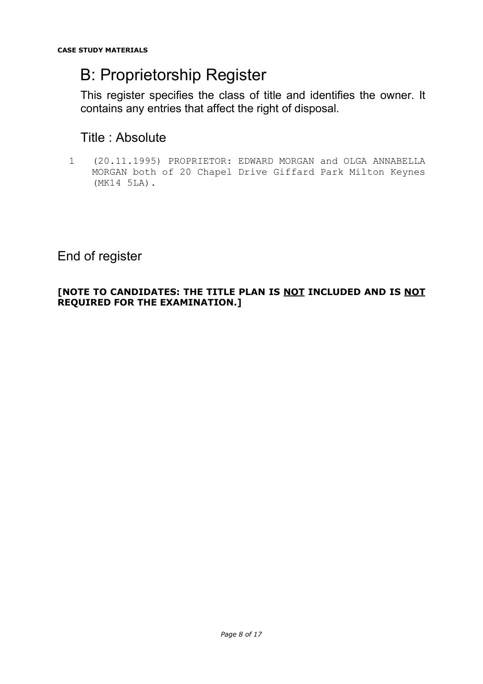# B: Proprietorship Register

This register specifies the class of title and identifies the owner. It contains any entries that affect the right of disposal.

# Title : Absolute

1 (20.11.1995) PROPRIETOR: EDWARD MORGAN and OLGA ANNABELLA MORGAN both of 20 Chapel Drive Giffard Park Milton Keynes (MK14 5LA).

# End of register

## **[NOTE TO CANDIDATES: THE TITLE PLAN IS NOT INCLUDED AND IS NOT REQUIRED FOR THE EXAMINATION.]**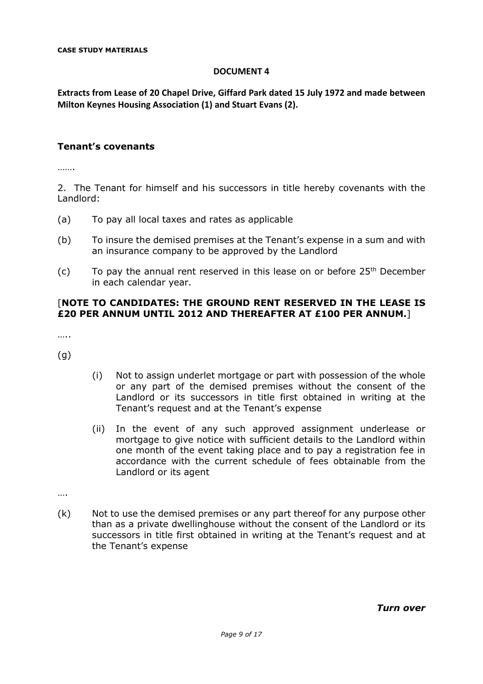**Extracts from Lease of 20 Chapel Drive, Giffard Park dated 15 July 1972 and made between Milton Keynes Housing Association (1) and Stuart Evans (2).** 

#### **Tenant's covenants**

…….

2. The Tenant for himself and his successors in title hereby covenants with the Landlord:

- (a) To pay all local taxes and rates as applicable
- (b) To insure the demised premises at the Tenant's expense in a sum and with an insurance company to be approved by the Landlord
- (c) To pay the annual rent reserved in this lease on or before  $25<sup>th</sup>$  December in each calendar year.

#### [**NOTE TO CANDIDATES: THE GROUND RENT RESERVED IN THE LEASE IS £20 PER ANNUM UNTIL 2012 AND THEREAFTER AT £100 PER ANNUM.**]

….

(g)

- (i) Not to assign underlet mortgage or part with possession of the whole or any part of the demised premises without the consent of the Landlord or its successors in title first obtained in writing at the Tenant's request and at the Tenant's expense
- (ii) In the event of any such approved assignment underlease or mortgage to give notice with sufficient details to the Landlord within one month of the event taking place and to pay a registration fee in accordance with the current schedule of fees obtainable from the Landlord or its agent

….

(k) Not to use the demised premises or any part thereof for any purpose other than as a private dwellinghouse without the consent of the Landlord or its successors in title first obtained in writing at the Tenant's request and at the Tenant's expense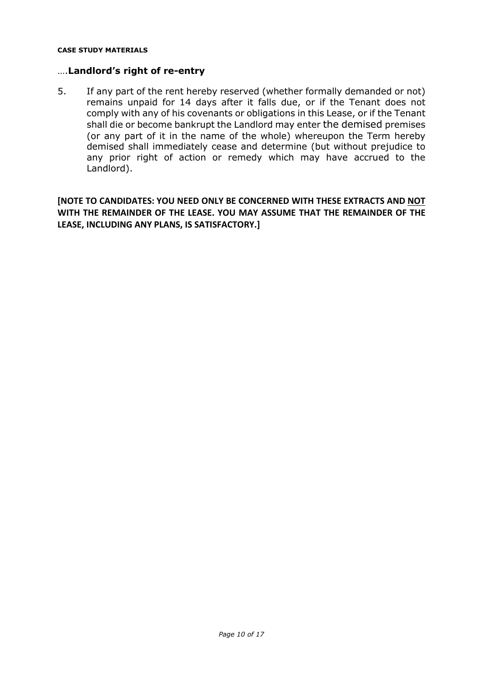#### ….**Landlord's right of re-entry**

5. If any part of the rent hereby reserved (whether formally demanded or not) remains unpaid for 14 days after it falls due, or if the Tenant does not comply with any of his covenants or obligations in this Lease, or if the Tenant shall die or become bankrupt the Landlord may enter the demised premises (or any part of it in the name of the whole) whereupon the Term hereby demised shall immediately cease and determine (but without prejudice to any prior right of action or remedy which may have accrued to the Landlord).

**[NOTE TO CANDIDATES: YOU NEED ONLY BE CONCERNED WITH THESE EXTRACTS AND NOT WITH THE REMAINDER OF THE LEASE. YOU MAY ASSUME THAT THE REMAINDER OF THE LEASE, INCLUDING ANY PLANS, IS SATISFACTORY.]**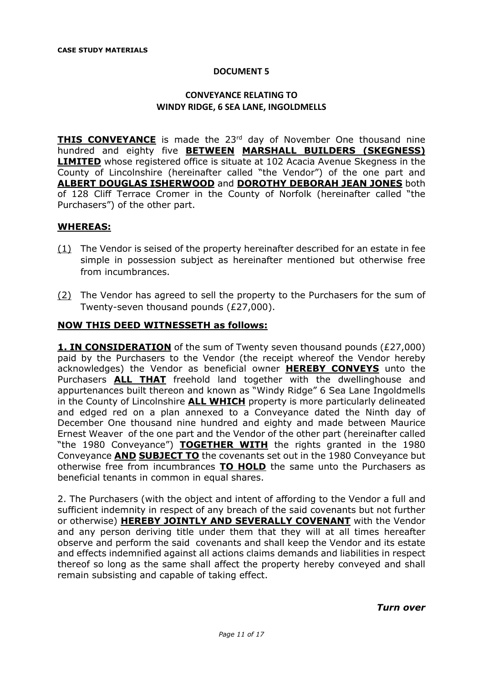## **CONVEYANCE RELATING TO WINDY RIDGE, 6 SEA LANE, INGOLDMELLS**

**THIS CONVEYANCE** is made the 23<sup>rd</sup> day of November One thousand nine hundred and eighty five **BETWEEN MARSHALL BUILDERS (SKEGNESS) LIMITED** whose registered office is situate at 102 Acacia Avenue Skegness in the County of Lincolnshire (hereinafter called "the Vendor") of the one part and **ALBERT DOUGLAS ISHERWOOD** and **DOROTHY DEBORAH JEAN JONES** both of 128 Cliff Terrace Cromer in the County of Norfolk (hereinafter called "the Purchasers") of the other part.

#### **WHEREAS:**

- (1) The Vendor is seised of the property hereinafter described for an estate in fee simple in possession subject as hereinafter mentioned but otherwise free from incumbrances.
- (2) The Vendor has agreed to sell the property to the Purchasers for the sum of Twenty-seven thousand pounds (£27,000).

#### **NOW THIS DEED WITNESSETH as follows:**

**1. IN CONSIDERATION** of the sum of Twenty seven thousand pounds (£27,000) paid by the Purchasers to the Vendor (the receipt whereof the Vendor hereby acknowledges) the Vendor as beneficial owner **HEREBY CONVEYS** unto the Purchasers **ALL THAT** freehold land together with the dwellinghouse and appurtenances built thereon and known as "Windy Ridge" 6 Sea Lane Ingoldmells in the County of Lincolnshire **ALL WHICH** property is more particularly delineated and edged red on a plan annexed to a Conveyance dated the Ninth day of December One thousand nine hundred and eighty and made between Maurice Ernest Weaver of the one part and the Vendor of the other part (hereinafter called "the 1980 Conveyance") **TOGETHER WITH** the rights granted in the 1980 Conveyance **AND SUBJECT TO** the covenants set out in the 1980 Conveyance but otherwise free from incumbrances **TO HOLD** the same unto the Purchasers as beneficial tenants in common in equal shares.

2. The Purchasers (with the object and intent of affording to the Vendor a full and sufficient indemnity in respect of any breach of the said covenants but not further or otherwise) **HEREBY JOINTLY AND SEVERALLY COVENANT** with the Vendor and any person deriving title under them that they will at all times hereafter observe and perform the said covenants and shall keep the Vendor and its estate and effects indemnified against all actions claims demands and liabilities in respect thereof so long as the same shall affect the property hereby conveyed and shall remain subsisting and capable of taking effect.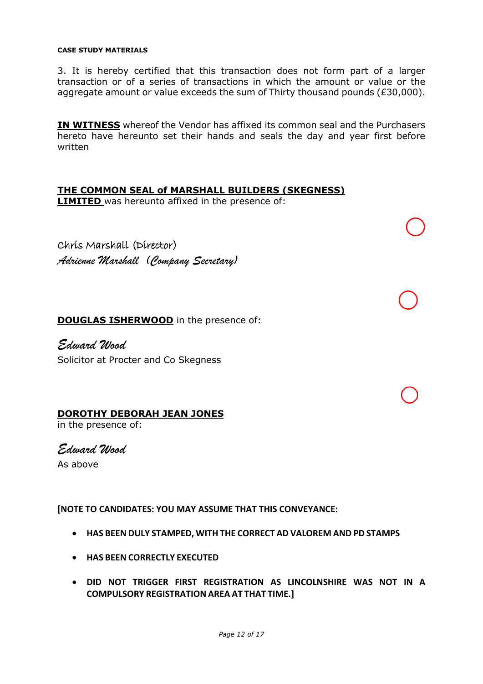3. It is hereby certified that this transaction does not form part of a larger transaction or of a series of transactions in which the amount or value or the aggregate amount or value exceeds the sum of Thirty thousand pounds (£30,000).

**IN WITNESS** whereof the Vendor has affixed its common seal and the Purchasers hereto have hereunto set their hands and seals the day and year first before written

# **THE COMMON SEAL of MARSHALL BUILDERS (SKEGNESS)**

**LIMITED** was hereunto affixed in the presence of:

Chris Marshall (Director) *Adrienne Marshall (Company Secretary)*

**DOUGLAS ISHERWOOD** in the presence of:

*Edward Wood* Solicitor at Procter and Co Skegness

#### **DOROTHY DEBORAH JEAN JONES**

in the presence of:

*Edward Wood*

As above

**[NOTE TO CANDIDATES: YOU MAY ASSUME THAT THIS CONVEYANCE:** 

- **HAS BEEN DULY STAMPED, WITH THE CORRECT AD VALOREM AND PD STAMPS**
- **HAS BEEN CORRECTLY EXECUTED**
- **DID NOT TRIGGER FIRST REGISTRATION AS LINCOLNSHIRE WAS NOT IN A COMPULSORY REGISTRATION AREA AT THAT TIME.]**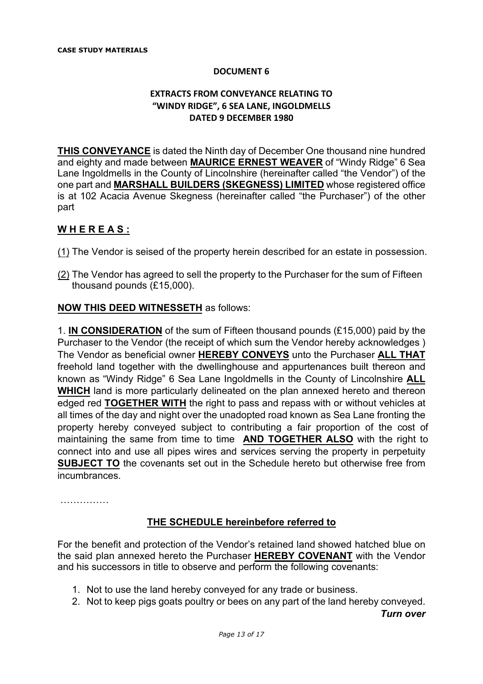### **EXTRACTS FROM CONVEYANCE RELATING TO "WINDY RIDGE", 6 SEA LANE, INGOLDMELLS DATED 9 DECEMBER 1980**

**THIS CONVEYANCE** is dated the Ninth day of December One thousand nine hundred and eighty and made between **MAURICE ERNEST WEAVER** of "Windy Ridge" 6 Sea Lane Ingoldmells in the County of Lincolnshire (hereinafter called "the Vendor") of the one part and **MARSHALL BUILDERS (SKEGNESS) LIMITED** whose registered office is at 102 Acacia Avenue Skegness (hereinafter called "the Purchaser") of the other part

## **W H E R E A S :**

- (1) The Vendor is seised of the property herein described for an estate in possession.
- (2) The Vendor has agreed to sell the property to the Purchaser for the sum of Fifteen thousand pounds (£15,000).

#### **NOW THIS DEED WITNESSETH** as follows:

1. **IN CONSIDERATION** of the sum of Fifteen thousand pounds (£15,000) paid by the Purchaser to the Vendor (the receipt of which sum the Vendor hereby acknowledges ) The Vendor as beneficial owner **HEREBY CONVEYS** unto the Purchaser **ALL THAT** freehold land together with the dwellinghouse and appurtenances built thereon and known as "Windy Ridge" 6 Sea Lane Ingoldmells in the County of Lincolnshire **ALL WHICH** land is more particularly delineated on the plan annexed hereto and thereon edged red **TOGETHER WITH** the right to pass and repass with or without vehicles at all times of the day and night over the unadopted road known as Sea Lane fronting the property hereby conveyed subject to contributing a fair proportion of the cost of maintaining the same from time to time **AND TOGETHER ALSO** with the right to connect into and use all pipes wires and services serving the property in perpetuity **SUBJECT TO** the covenants set out in the Schedule hereto but otherwise free from incumbrances.

……………

## **THE SCHEDULE hereinbefore referred to**

For the benefit and protection of the Vendor's retained land showed hatched blue on the said plan annexed hereto the Purchaser **HEREBY COVENANT** with the Vendor and his successors in title to observe and perform the following covenants:

- 1. Not to use the land hereby conveyed for any trade or business.
- 2. Not to keep pigs goats poultry or bees on any part of the land hereby conveyed.

*Turn over*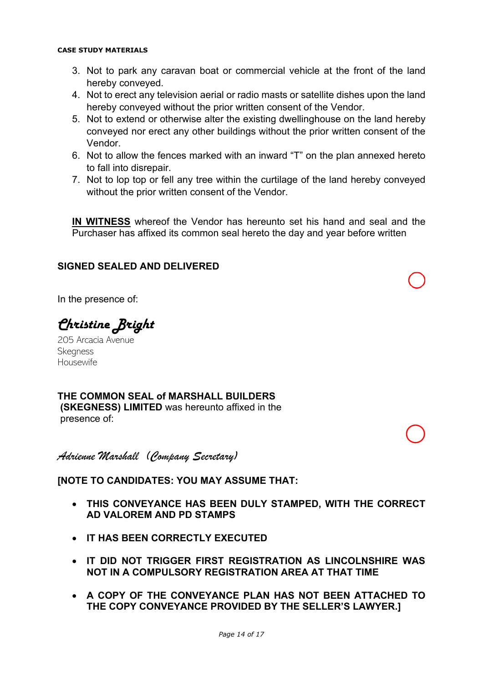- 3. Not to park any caravan boat or commercial vehicle at the front of the land hereby conveyed.
- 4. Not to erect any television aerial or radio masts or satellite dishes upon the land hereby conveyed without the prior written consent of the Vendor.
- 5. Not to extend or otherwise alter the existing dwellinghouse on the land hereby conveyed nor erect any other buildings without the prior written consent of the Vendor.
- 6. Not to allow the fences marked with an inward "T" on the plan annexed hereto to fall into disrepair.
- 7. Not to lop top or fell any tree within the curtilage of the land hereby conveyed without the prior written consent of the Vendor.

**IN WITNESS** whereof the Vendor has hereunto set his hand and seal and the Purchaser has affixed its common seal hereto the day and year before written

# **SIGNED SEALED AND DELIVERED**

In the presence of:

Christine Bright

205 Arcacia Avenue **Skegness** Housewife

**THE COMMON SEAL of MARSHALL BUILDERS (SKEGNESS) LIMITED** was hereunto affixed in the presence of:

*Adrienne Marshall (Company Secretary)*

## **[NOTE TO CANDIDATES: YOU MAY ASSUME THAT:**

- **THIS CONVEYANCE HAS BEEN DULY STAMPED, WITH THE CORRECT AD VALOREM AND PD STAMPS**
- **IT HAS BEEN CORRECTLY EXECUTED**
- **IT DID NOT TRIGGER FIRST REGISTRATION AS LINCOLNSHIRE WAS NOT IN A COMPULSORY REGISTRATION AREA AT THAT TIME**
- **A COPY OF THE CONVEYANCE PLAN HAS NOT BEEN ATTACHED TO THE COPY CONVEYANCE PROVIDED BY THE SELLER'S LAWYER.]**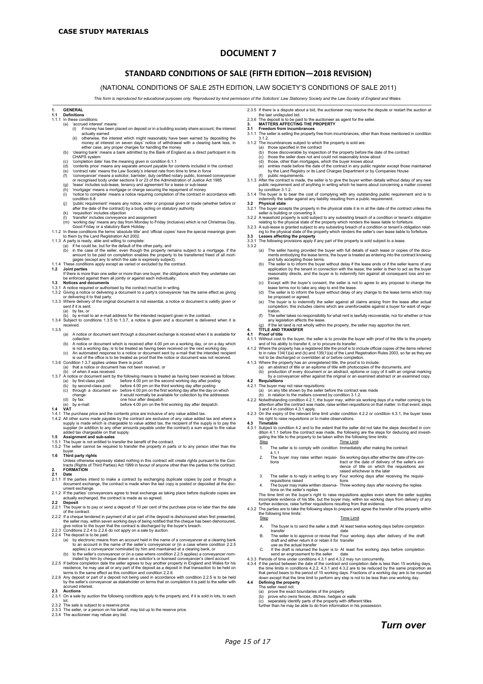#### **STANDARD CONDITIONS OF SALE (FIFTH EDITION—2018 REVISION)**

(NATIONAL CONDITIONS OF SALE 25TH EDITION, LAW SOCIETY'S CONDITIONS OF SALE 2011)

*This form is reproduced for educational purposes only. Reproduced by kind permission of the Solicitors' Law Stationery Society and the Law Society of England and Wales.*

**\_\_\_\_\_\_\_\_\_\_\_\_\_\_\_\_\_\_\_\_\_\_\_\_\_\_\_\_\_\_\_\_\_\_\_\_\_\_\_\_\_\_\_\_\_\_\_\_\_\_\_\_\_\_\_\_\_\_\_\_\_\_\_\_\_\_\_\_\_\_\_\_\_\_\_\_\_\_\_\_\_\_\_\_\_\_\_\_\_\_\_\_\_\_\_\_\_\_\_\_\_\_\_\_\_\_\_\_\_\_\_\_\_\_\_\_\_\_\_\_\_\_\_\_\_\_\_\_\_\_\_\_\_\_\_\_\_\_\_\_\_\_\_\_\_\_\_\_\_\_\_\_\_\_\_\_\_\_\_\_\_\_\_\_\_\_\_\_**

# **1. GENERAL**

#### **1.1 Definitions**

- 1.1.1 In these conditions:<br>(a)  $\frac{1}{2}$  accrued interest.
	- 'accrued interest' means:<br>(i) if money has been p (i) if money has been placed on deposit or in a building society share account, the interest
	- actually earned<br>actually earned<br>therwise, the interest which might reasonably have been earned by depositing the<br>desired hand less in
	- (ii) otherwise, the interest which might reasonably have been earned by depositing the money at interest on seven days' notice of withdrawal with a clearing bank less, in either case, any proper charges for handling the m
	-
	-
	-
	-
	-
	-
	-
	- (j) 'public requirement' means any notice, order or proposal given or made (whether before or after the date of the contract) by a body acting on statutory authority
	- (k) 'requisition' includes objection (l) 'transfer' includes conveyance and assignment
	-
	-
- 
- 
- 

(m) working day means any day from Monday to Friday (inclusive) which is not Christmas Day,<br>
Good Friday or a stautory Bank Holiday.<br>
1.1.2 In these conditions the terms 'absolute title' and 'official copies' have the spe

- 1.2 Joint parties<br>
If there is more than one seller or more than one buyer, the obligations which they undertake can<br>
the enforced against them all jointly or against each individually.<br>
1.3 Notices and documents<br>
1.3.1 A
- 
- 
- or delivering it to that party. 1.3.3 Where delivery of the original document is not essential, a notice or document is validly given or
- sent if it is sent:<br>(a) by fax. or by fax, or
- (b) by e-mail to an e-mail address for the intended recipient given in the contract. 1.3.4 Subject to conditions 1.3.5 to 1.3.7, a notice is given and a document is delivered when it is received.
- 1.3.5
- (a) A notice or document sent through a document exchange is received when it is available for
	-
	-
- 
- 
- 
- collection.<br>
(b) A notice or document which is received after 4.00 pm on a working day, or on a day which<br>
is not a working day, is to be treated as having been received on the next working day,<br>
(c) A notice and the offi
- before 4.00 pm on the first working day after despatch.
- **1.4 VAT**
- 1.4.1 The purchase price and the contents price are inclusive of any value added tax.<br>1.4.2. All other sums made payable by the contract are exclusive of any value added
- 1.4.2 All other sums made payable by the contract are exclusive of any value added tax and where a supply is made which is chargeable to value added tax, the recipient of the supply is to pay the supplier (in addition to a
- 
- 
- 1.5.1 The buyer is not entitled to transfer the benefit of the contract. 1.5.2 The seller cannot be required to transfer the property in parts or to any person other than the buyer.<br>Third party rights
- 1.6 Thir**d party rights**<br>Unless otherwise expressly stated nothing in this contract will create rights pursuant to the Contracts (Rights of Third Parties) Act 1999 in favour of anyone other than the parties to the contract
- **2.1 Date**
- 2.1.1 If the parties intend to make a contract by exchanging duplicate copies by post or through a document exchange, the contract is made when the last copy is posted or deposited at the doc-ument exchange.
- 2.1.2 If the parties' conveyancers agree to treat exchange as taking place before duplicate copies are actually exchanged, the contract is made as so agreed.
- **2.2 Deposit** 2.2.1 The buyer is to pay or send a deposit of 10 per cent of the purchase price no later than the date
- of the contract. 2.2.2 If a cheque tendered in payment of all or part of the deposit is dishonoured when first presented, the seller may, within seven working days of being notified that the cheque has been dishonoured, give notice to the
- 
- 
- 2.2.4 The deposit is to be paid:<br>
(a) by electronic means from an account held in the name of a conveyancer at a clearing bank<br>
to an account in the name of the seller's conveyancer or (in a case where condition 2.2.5<br>
app
- 
- terms to the same effect as this condition and condition 2.2.6.<br>2.2.6 Any deposit or part of a deposit not being used in accordance with condition 2.2.5 is to be held.<br>by the seller's conveyancer as stakeholder on terms t
- accrued interest. **2.3 Auctions**
- 2.3.1 On a sale by auction the following conditions apply to the property and, if it is sold in lots, to each
- lot. 2.3.2 The sale is subject to a reserve price.
- 
- 2.3.3 The seller, or a person on his behalf, may bid up to the reserve price. 2.3.4 The auctioneer may refuse any bid.
- 
- 2.3.5 If there is a dispute about a bid, the auctioneer may resolve the dispute or restart the auction at the last undisputed bid.
- 2.3.6 The deposit is to be paid to the auctioneer as agent for the seller. **3. MATTERS AFFECTING THE PROPERTY**
- **3.1 Freedom from incumbrances**
- 3.1.1 The seller is selling the property free from incumbrances, other than those mentioned in condition
- 3.1.2.<br>3.1.2 The incumbrances subject to which the property is sold are
	- -
		-
	-
- 3.1.2 The incumbrances subject to which the property is sold are:<br>
(a) those specified in the contract<br>
(b) those discoverable by inspection of the property before the date of the contract<br>
(c) those the seller does not an
- by condition 3.1.2.<br>3.1.4 The buyer is to bear the cost of complying with any outstanding public requirement and is to<br>indemnify the seller against any liability resulting from a public requirement.
- **3.2 Physical state**
- 3.2.1 The buyer accepts the property in the physical state it is in at the date of the contract unless the seller is building or converting it.
- 
- 3.2.2 A leasehold property is sold subject to any subsisting breach of a condition or tenant's obligation<br>relating to the physical state of the property which renders the lease liable to forfeiture.<br>3.2.3 A sub-lease is gr
- -
- 3.3.1 The following provisions apply if any part of the property is sold subject to a lease 3.3.2
	-
	- (a) The seller having provided the buyer with full details of each lease or copies of the documents emotion of the documents emoty in the seller is the property and fully accepting those terms, the buyer is treated as ente
	- (c) Except with the buyer's consent, the seller is not to agree to any proposal to change the lease terms nor to take any step to end the lease. (d) The seller is to inform the buyer without delay of any change to the lease terms which may
	- be proposed or agreed.
	- (e) The buyer is to indemnify the seller against all claims arising from the lease after actual completion; this includes claims which are unenforceable against a buyer for want of registration.
	- that the seller takes no responsibility for what rent is lawfully recoverable, nor for whether or how<br>any legislation affects the lease.
	- any legislation affects the lease. (g) If the let land is not wholly within the property, the seller may apportion the rent.
- **4. TITLE AND TRANSFER**
- 
- 
- 
- 
- 4.1. Proof of title to the buyer, the seller is to provide the buyer with proof of the title to the property<br>4.1.1 Without cost to the buyer, the seller is to trocure its transfer.<br>4.1.2 Where the property has a registered

4.3.1 Subject to condition 4.2 and to the extent that the seller did not take the steps described in condition 4.1.1 before the contract was made, the following are the steps for deducing and investigating the title to the 1. The seller is to comply with condition Immediately after making the contract 4.1.1 2. The buyer may raise written requisi-Six working days after either the date of the con-

raised whichever is the later<br>The seller is to reply in writing to any Four working days after receiving the requisitions raised<br>4. The buyer may make written observa- Three working days after receiving the replies<br>tions o

The time limit on the buyer's right to raise requisitions applies even where the seller supplies<br>incomplete evidence of his title, but the buyer may, within six vorking days from delivery of any<br>further evidence, raise fur

A. The buyer is to send the seller a draft At least twelve working days before completion

C. If the draft is returned the buyer is to At least five working days before completion send an engrossment to the seller date 4.3.3 Periods of time under conditions 4.3.1 and 4.3.2 may run concurrently. 4.3.4 If the period between the date of the contract and completion date is less than 15 working days, the time limits in conditions 4.2.2, 4.3.1 and 4.3.2 are to be reduced by the same proportion as that period bears to the period of 15 working days. Fractions of a working day are to be rounded down except that the time limit to perform any step is not to be less than one working day

transfer date B. The seller is to approve or revise that draft and either return it or retain it for use as the actual transfer

(a) prove the exact boundaries of the property<br>
(b) prove who owns fences, ditches, hedges (c) separately identify parts of the property wit (b) prove who owns fences, ditches, hedges or walls (c) separately identify parts of the property with different titles furthermore than the may be able to do from information in his possession.

tract or the date of delivery of the seller's evi-dence of title on which the requisitions are

Four working days after delivery of the draft transfer

*Turn over*

tions

**4.4 Defining the property** The seller need not:

*Page 15 of 17*

- 4.2.1 The buyer may not raise requisitions: (a) on any title shown by the seller before the contract was made
- (b) in relation to the matters covered by condition 3.1.2.<br>4.2.2 Notwithstanding condition 4.2.1, the buyer may, within six working days of a matter coming to his<br>attention after the contract was made, raise written requi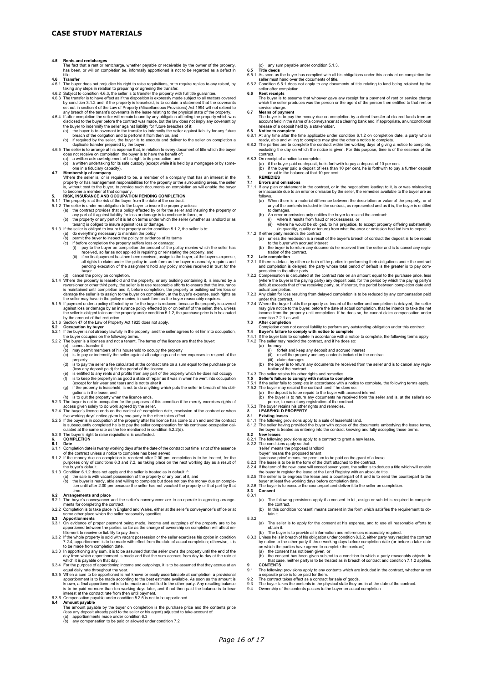- 4.5 Rents and rentcharges<br>The fact that a rent or rentcharge, whether payable or receivable by the owner of the property,<br>has been, or will on completion be, informally apportioned is not to be regarded as a defect in
- 
- 
- 
- tile.<br>**4.6 Transfer**<br>**4.6 Transfer**<br>**4.6 Transfer**<br>**4.6 Transfer**<br>**4.6 Transfer**<br>**4.6 Transfer**<br>**4.6 Transfer**<br>**4.6 Transfer**<br>**4.6 Transfer**<br>**4.6 Transfer**<br>**4.6 Transfer**<br>**4.6 Transfer**<br>**4.6 Transfer**<br>**4.6 Transfer**<br>**4.6 T**
- the buyer to indemnify the seller against liability for future breaches of it:<br>(a) the buyer is to covenant in the transfer to indemnify the seller against liability for any future
	- breach of the obligation and to perform it from then on, and
- (b) if required by the seller, the buyer is to execute and deliver to the seller on completion a duplicate transfer prepared by the buyer.
- 
- 
- 
- 4.6.5 The seller is to arrange at his expense that, in relation to every document of title which the buyer<br>does not receive on completion, the buyer is to have the benefit of:<br>(a) a written acknowledgement of his right to
- 
- 
- 5.1.2 The seller is under no obligation to the buyer to insure the property unless:<br>(a) the contract provides that a policy effected by or for the seller and insuring the property or<br>any part of it against liability for lo
- 
- tenant) is obliged to insure against loss or damage.<br>5.1.3 If the seller is obliged to insure the property under condition 5.1.2, the seller is to
	- -
		-
		-
	-
- 5.1.3 If the seller is obliged to insure the property under condition 5.1.2, the seller is to:<br>
(a) do everything necessary to maintain the policy<br>
(b) permit the buyer to inspect the policy or evidence of its terms<br>
(c)
- 
- 
- 
- **5.2 Occupation by buyer**<br>5.2.1 If the buyer is not already lawfully in the property, and the seller agrees to let him into occupation, the buyer occupies on the following terms.<br>5.2.2 The buyer is a licensee and not a tenant. The terms of the licence are that the buyer:<br>(a) cannot transfer it
	-
	-
	- cannot transfer it<br>may permit members of his household to occupy the property<br>is to pay or indemnify the seller against all outgoings and other expenses in respect of the
	-
	-
	-
	-
- (c) is to pay or indemnify the seller against all outgoings and other expenses in respect of the<br>
(d) is to pay the seller a fee calculated at the contract rate on a sum equal to the purchase price<br>
(e) is sto pay the pos
- 
- five working days' notice given by one party to the other takes effect.<br>5.2.5 If the buyer is in occupation of the property after his licence has come to an end and the contract<br>is subsequently completed he is to pay the s
- 5.2.6 The buyer's right to raise requisitions is unaffected. **6. COMPLETION**

- 
- 6.1. Date of the contract unless a notice to complete has been served.<br>
6.1.1 Completion date is twenty working days after the date of the contract but time is not of the essence<br>
of the contract unless a notice to complet
- 
- 
- 
- time.
- **6.2 Arrangements and place** 6.2.1 The buyer's conveyancer and the seller's conveyancer are to co-operate in agreeing arrange-
- ments for completing the contract.
- 6.2.2 Completion is to take place in England and Wales, either at the seller's conveyancer's office or at some other place which the seller reasonably specifies. **6.3 Apportionments** 6.3.1 On evidence of proper payment being made, income and outgoings of the property are to be
- 
- apportioned between the parties so far as the change of ownership on completion will affect entered there who le property is sold with vacant possession or the seller exercises his option in condition 3.2 If the whole prop
- 
- 
- apportionment is to be made according to the best estimate available. As soon as the amount is<br>known, a final apportionment is to be made and notified to the other party. Any resulting balance<br>is to be paid no more than te interest at the contract rate from then until payment. 6.3.6 Compensation payable under condition 5.2.5 is not to be apportioned. **6.4 Amount payable**

- The amount payable by the buyer on completion is the purchase price and the contents price (less any deposit already paid to the seller or his agent) adjusted to take account of:
- (a) apportionments made under condition 6.3 (b) any compensation to be paid or allowed under condition 7.2
- 
- 
- (c) any sum payable under condition 5.1.3. **6.5 Title deeds** 6.5.1 As soon as the buyer has complied with all his obligations under this contract on completion the
- seller must hand over the documents of title.<br>6.5.2 Condition 6.5.1 does not apply to any documents of title relating to land being retained by the<br>seller after completion.
- **6.6 Rent receipts**
- The buyer is to assume that whoever gave any receipt for a payment of rent or service charge which the seller produces was the person or the agent of the person then entitled to that rent or service charge.
- **6.7 Means of payment**<br>The buyer is to pay the money due on completion by a direct transfer of cleared funds from an<br>account held in the name of a conveyancer at a clearing bank and, if appropriate, an unconditional<br>releas

#### **6.8 Notice to complete**<br>6.8.1. At any time after the

- 6.8.1 At any time after the time applicable under condition 6.1.2 on completion date, a party who is
- ready, able and willing to complete may give the other a notice to complete.<br>6.8.2 The parties are to complete the contract within ten working days of giving a notice to complete,<br>excluding the day on which the notice is g
- contract. 6.8.3 On receipt of a notice to complete:
- (a) if the buyer paid no deposit, he is forthwith to pay a deposit of 10 per cent (b) if the buyer paid a deposit of less than 10 per cent, he is forthwith to pay a further deposit equal to the balance of that 10 per cent.

- 
- 7. REMEDIES<br>7.1 Errors and omissions<br>7.1.1 If any plan or statement in the contract, or in the negotiations leading to it, is or was misleading<br>or inaccurate due to an error or omission by the seller, the remedies availabl
	- follows. (a) When there is a material difference between the description or value of the property, or of any of the contents included in the contract, as represented and as it is, the buyer is entitled to damages. (b) An error or omission only entitles the buyer to rescind the contract:
	- (i) where it results from fraud or recklessness, or
- (ii) where he would be obliged, to his prejudice, to accept property differing substantially (in quantity, quality or tenure) from what the error or omission had led him to expect.
- 
- 7.1.2 If either party rescinds the contract<br>
(a) unless the rescission is a result of the buyer's breach of contract the deposit is to be repaid<br>
to the buyer with accrued interest<br>
(b) the buyer is to return any documents
- -
- 7.2.1 If there is default by either or both of the parties in performing their obligations under the contract<br>and completion is delayed, the party whose total period of default is the greater is to pay com-<br>pensation to th
- 7.2.3 Any claim for loss resulting from delayed completion is to be reduced by any compensation paid under this contract.
- 7.2.4 Where the buyer holds the property as tenant of the seller and completion is delayed, the seller may give notice to the buyer, before the date of actual completion, that he intends to take the net income from the pro
- 
- **7.3 After completion** Completion does not cancel liability to perform any outstanding obligation under this contract.
- **7.4 Buyer's failure to comply with notice to complete** 7.4.1 If the buyer fails to complete in accordance with a notice to complete, the following terms apply.
- -
	-
- 7.4.2 The seller may rescind the contract, and if he does so:<br>
(a) he may:<br>
(i) forfeit and keep any deposit and accrued interest<br>
(ii) resell the properly and any contents included in the contract<br>
(iii) claim damages<br>
(
- 
- 
- 
- 
- 
- 
- 

the contract.

tain it.

8.3.1

8.3.2

*Page 16 of 17*

- 
- 8.1.1 The following provisions apply to a sale of leasehold land.<br>8.1.2 The seller having provided the buyer with copies of the documents embodying the lease terms,<br>the buyer is treated as entering into the contract knowin

(a) The following provisions apply if a consent to let, assign or sub-let is required to complete

(b) In this condition 'consent' means consent in the form which satisfies the requirement to ob-

(a) The seller is to apply for the consent at his expense, and to use all reasonable efforts to

botain it.<br>
obtain its provide all information and references reasonably required.<br>
(b) The buyer is to provide all information under condition 8.3.2, either party may rescind the contract<br>
by notice to the other party if

9 **CONTENTS**<br>
9.1 The following provisions apply to any contents which are included in the contract, whether or not<br>
1.9.2 The contract takes effect as a contract for sale of goods.<br>
9.2 The contract takes effect as a cont

8.2.1 The following provisions apply to a contract to grant a new lease.<br>
8.2.2 The conditions apply so that:<br>
"seller" means the proposed landlord<br>
"buyer" means the proposed lenant<br>
"purchase price means the permium to b